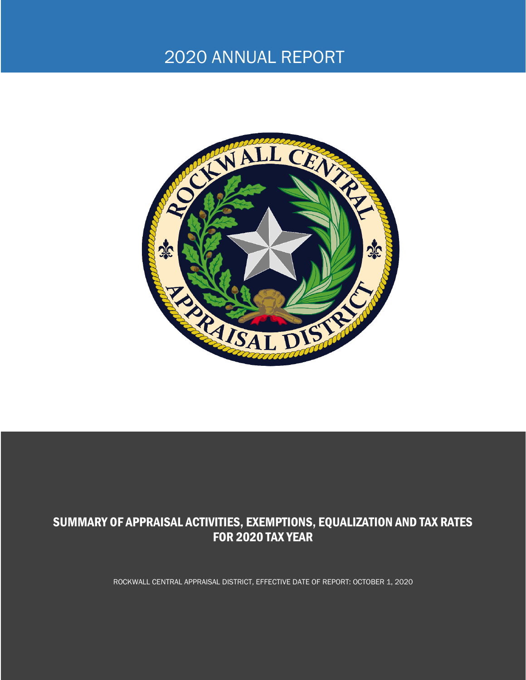# 2020 ANNUAL REPORT



## SUMMARY OF APPRAISAL ACTIVITIES, EXEMPTIONS, EQUALIZATION AND TAX RATES FOR 2020 TAX YEAR

ROCKWALL CENTRAL APPRAISAL DISTRICT, EFFECTIVE DATE OF REPORT: OCTOBER 1, 2020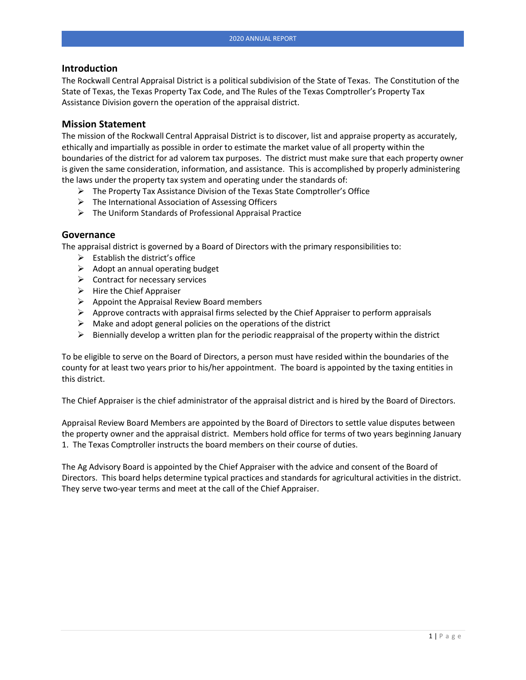#### **Introduction**

The Rockwall Central Appraisal District is a political subdivision of the State of Texas. The Constitution of the State of Texas, the Texas Property Tax Code, and The Rules of the Texas Comptroller's Property Tax Assistance Division govern the operation of the appraisal district.

#### **Mission Statement**

The mission of the Rockwall Central Appraisal District is to discover, list and appraise property as accurately, ethically and impartially as possible in order to estimate the market value of all property within the boundaries of the district for ad valorem tax purposes. The district must make sure that each property owner is given the same consideration, information, and assistance. This is accomplished by properly administering the laws under the property tax system and operating under the standards of:

- $\triangleright$  The Property Tax Assistance Division of the Texas State Comptroller's Office
- ➢ The International Association of Assessing Officers
- ➢ The Uniform Standards of Professional Appraisal Practice

#### **Governance**

The appraisal district is governed by a Board of Directors with the primary responsibilities to:

- $\triangleright$  Establish the district's office
- $\triangleright$  Adopt an annual operating budget
- $\triangleright$  Contract for necessary services
- $\triangleright$  Hire the Chief Appraiser
- $\triangleright$  Appoint the Appraisal Review Board members
- $\triangleright$  Approve contracts with appraisal firms selected by the Chief Appraiser to perform appraisals
- $\triangleright$  Make and adopt general policies on the operations of the district
- $\triangleright$  Biennially develop a written plan for the periodic reappraisal of the property within the district

To be eligible to serve on the Board of Directors, a person must have resided within the boundaries of the county for at least two years prior to his/her appointment. The board is appointed by the taxing entities in this district.

The Chief Appraiser is the chief administrator of the appraisal district and is hired by the Board of Directors.

Appraisal Review Board Members are appointed by the Board of Directors to settle value disputes between the property owner and the appraisal district. Members hold office for terms of two years beginning January 1. The Texas Comptroller instructs the board members on their course of duties.

The Ag Advisory Board is appointed by the Chief Appraiser with the advice and consent of the Board of Directors. This board helps determine typical practices and standards for agricultural activities in the district. They serve two-year terms and meet at the call of the Chief Appraiser.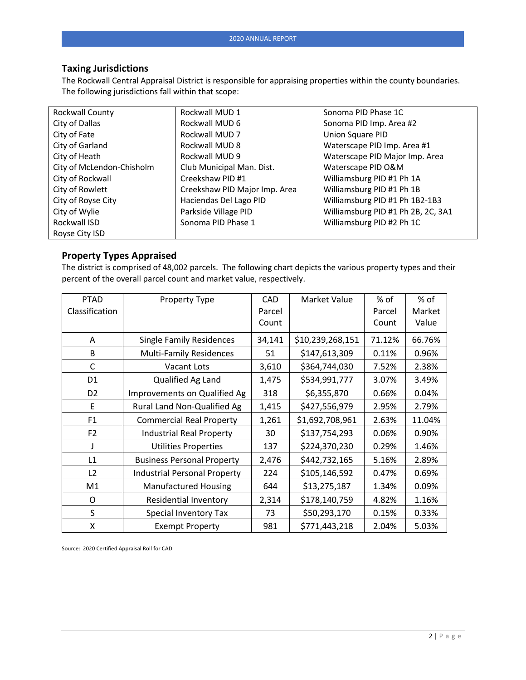#### **Taxing Jurisdictions**

The Rockwall Central Appraisal District is responsible for appraising properties within the county boundaries. The following jurisdictions fall within that scope:

| Rockwall County           | Rockwall MUD 1                | Sonoma PID Phase 1C                |
|---------------------------|-------------------------------|------------------------------------|
| City of Dallas            | Rockwall MUD 6                | Sonoma PID Imp. Area #2            |
| City of Fate              | Rockwall MUD 7                | Union Square PID                   |
| City of Garland           | Rockwall MUD 8                | Waterscape PID Imp. Area #1        |
| City of Heath             | Rockwall MUD 9                | Waterscape PID Major Imp. Area     |
| City of McLendon-Chisholm | Club Municipal Man. Dist.     | Waterscape PID O&M                 |
| City of Rockwall          | Creekshaw PID #1              | Williamsburg PID #1 Ph 1A          |
| City of Rowlett           | Creekshaw PID Major Imp. Area | Williamsburg PID #1 Ph 1B          |
| City of Royse City        | Haciendas Del Lago PID        | Williamsburg PID #1 Ph 1B2-1B3     |
| City of Wylie             | Parkside Village PID          | Williamsburg PID #1 Ph 2B, 2C, 3A1 |
| Rockwall ISD              | Sonoma PID Phase 1            | Williamsburg PID #2 Ph 1C          |
| Royse City ISD            |                               |                                    |

#### **Property Types Appraised**

The district is comprised of 48,002 parcels. The following chart depicts the various property types and their percent of the overall parcel count and market value, respectively.

| <b>PTAD</b><br>Classification | Property Type                       | <b>CAD</b><br>Parcel<br>Count | Market Value     | % of<br>Parcel<br>Count | % of<br>Market<br>Value |
|-------------------------------|-------------------------------------|-------------------------------|------------------|-------------------------|-------------------------|
| A                             | <b>Single Family Residences</b>     | 34,141                        | \$10,239,268,151 | 71.12%                  | 66.76%                  |
| В                             | <b>Multi-Family Residences</b>      | 51                            | \$147,613,309    | 0.11%                   | 0.96%                   |
| С                             | <b>Vacant Lots</b>                  | 3,610                         | \$364,744,030    | 7.52%                   | 2.38%                   |
| D1                            | Qualified Ag Land                   | 1,475                         | \$534,991,777    | 3.07%                   | 3.49%                   |
| D <sub>2</sub>                | Improvements on Qualified Ag        | 318                           | \$6,355,870      | 0.66%                   | 0.04%                   |
| Ε                             | Rural Land Non-Qualified Ag         | 1,415                         | \$427,556,979    | 2.95%                   | 2.79%                   |
| F <sub>1</sub>                | <b>Commercial Real Property</b>     | 1,261                         | \$1,692,708,961  | 2.63%                   | 11.04%                  |
| F <sub>2</sub>                | <b>Industrial Real Property</b>     | 30                            | \$137,754,293    | 0.06%                   | 0.90%                   |
| J                             | <b>Utilities Properties</b>         | 137                           | \$224,370,230    | 0.29%                   | 1.46%                   |
| L1                            | <b>Business Personal Property</b>   | 2,476                         | \$442,732,165    | 5.16%                   | 2.89%                   |
| L2                            | <b>Industrial Personal Property</b> | 224                           | \$105,146,592    | 0.47%                   | 0.69%                   |
| M1                            | <b>Manufactured Housing</b>         | 644                           | \$13,275,187     | 1.34%                   | 0.09%                   |
| O                             | <b>Residential Inventory</b>        | 2,314                         | \$178,140,759    | 4.82%                   | 1.16%                   |
| S                             | Special Inventory Tax               | 73                            | \$50,293,170     | 0.15%                   | 0.33%                   |
| Χ                             | <b>Exempt Property</b>              | 981                           | \$771,443,218    | 2.04%                   | 5.03%                   |

Source: 2020 Certified Appraisal Roll for CAD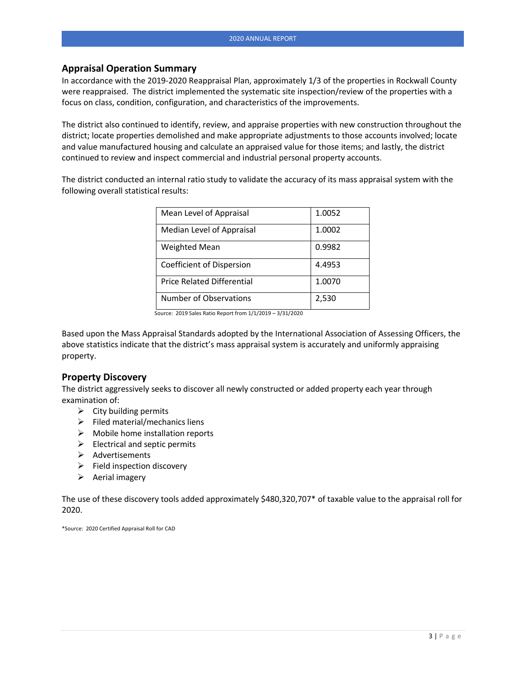#### **Appraisal Operation Summary**

In accordance with the 2019-2020 Reappraisal Plan, approximately 1/3 of the properties in Rockwall County were reappraised. The district implemented the systematic site inspection/review of the properties with a focus on class, condition, configuration, and characteristics of the improvements.

The district also continued to identify, review, and appraise properties with new construction throughout the district; locate properties demolished and make appropriate adjustments to those accounts involved; locate and value manufactured housing and calculate an appraised value for those items; and lastly, the district continued to review and inspect commercial and industrial personal property accounts.

The district conducted an internal ratio study to validate the accuracy of its mass appraisal system with the following overall statistical results:

| Mean Level of Appraisal           | 1.0052 |
|-----------------------------------|--------|
| Median Level of Appraisal         | 1.0002 |
| <b>Weighted Mean</b>              | 0.9982 |
| Coefficient of Dispersion         | 4.4953 |
| <b>Price Related Differential</b> | 1.0070 |
| Number of Observations            | 2,530  |

Source: 2019 Sales Ratio Report from 1/1/2019 – 3/31/2020

Based upon the Mass Appraisal Standards adopted by the International Association of Assessing Officers, the above statistics indicate that the district's mass appraisal system is accurately and uniformly appraising property.

#### **Property Discovery**

The district aggressively seeks to discover all newly constructed or added property each year through examination of:

- $\triangleright$  City building permits
- $\triangleright$  Filed material/mechanics liens
- $\triangleright$  Mobile home installation reports
- $\triangleright$  Electrical and septic permits
- ➢ Advertisements
- ➢ Field inspection discovery
- $\triangleright$  Aerial imagery

The use of these discovery tools added approximately \$480,320,707\* of taxable value to the appraisal roll for 2020.

\*Source: 2020 Certified Appraisal Roll for CAD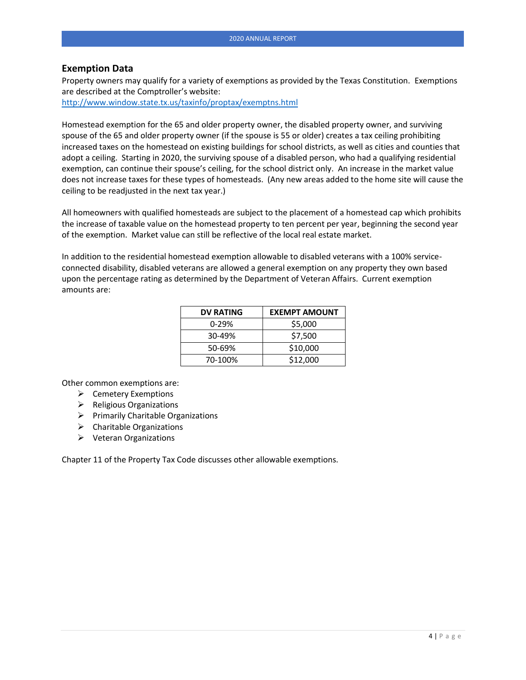#### **Exemption Data**

Property owners may qualify for a variety of exemptions as provided by the Texas Constitution. Exemptions are described at the Comptroller's website:

<http://www.window.state.tx.us/taxinfo/proptax/exemptns.html>

Homestead exemption for the 65 and older property owner, the disabled property owner, and surviving spouse of the 65 and older property owner (if the spouse is 55 or older) creates a tax ceiling prohibiting increased taxes on the homestead on existing buildings for school districts, as well as cities and counties that adopt a ceiling. Starting in 2020, the surviving spouse of a disabled person, who had a qualifying residential exemption, can continue their spouse's ceiling, for the school district only. An increase in the market value does not increase taxes for these types of homesteads. (Any new areas added to the home site will cause the ceiling to be readjusted in the next tax year.)

All homeowners with qualified homesteads are subject to the placement of a homestead cap which prohibits the increase of taxable value on the homestead property to ten percent per year, beginning the second year of the exemption. Market value can still be reflective of the local real estate market.

In addition to the residential homestead exemption allowable to disabled veterans with a 100% serviceconnected disability, disabled veterans are allowed a general exemption on any property they own based upon the percentage rating as determined by the Department of Veteran Affairs. Current exemption amounts are:

| <b>DV RATING</b> | <b>EXEMPT AMOUNT</b> |
|------------------|----------------------|
| 0-29%            | \$5,000              |
| 30-49%           | \$7,500              |
| 50-69%           | \$10,000             |
| 70-100%          | \$12,000             |

Other common exemptions are:

- ➢ Cemetery Exemptions
- ➢ Religious Organizations
- ➢ Primarily Charitable Organizations
- $\triangleright$  Charitable Organizations
- ➢ Veteran Organizations

Chapter 11 of the Property Tax Code discusses other allowable exemptions.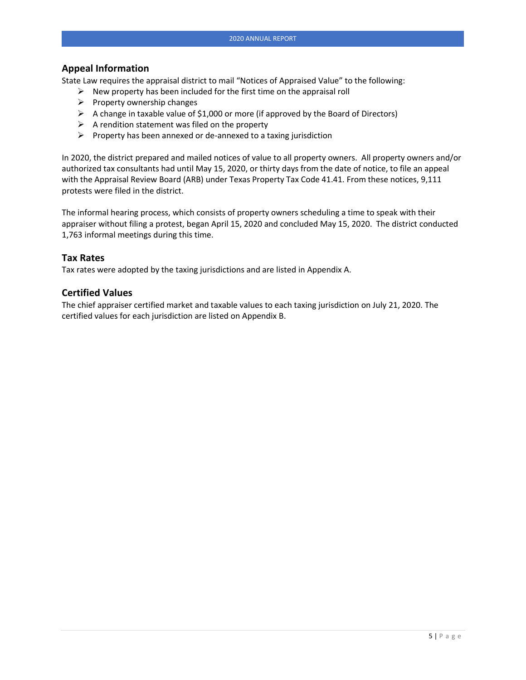#### **Appeal Information**

State Law requires the appraisal district to mail "Notices of Appraised Value" to the following:

- $\triangleright$  New property has been included for the first time on the appraisal roll
- $\triangleright$  Property ownership changes
- ➢ A change in taxable value of \$1,000 or more (if approved by the Board of Directors)
- $\triangleright$  A rendition statement was filed on the property
- $\triangleright$  Property has been annexed or de-annexed to a taxing jurisdiction

In 2020, the district prepared and mailed notices of value to all property owners. All property owners and/or authorized tax consultants had until May 15, 2020, or thirty days from the date of notice, to file an appeal with the Appraisal Review Board (ARB) under Texas Property Tax Code 41.41. From these notices, 9,111 protests were filed in the district.

The informal hearing process, which consists of property owners scheduling a time to speak with their appraiser without filing a protest, began April 15, 2020 and concluded May 15, 2020. The district conducted 1,763 informal meetings during this time.

#### **Tax Rates**

Tax rates were adopted by the taxing jurisdictions and are listed in Appendix A.

#### **Certified Values**

The chief appraiser certified market and taxable values to each taxing jurisdiction on July 21, 2020. The certified values for each jurisdiction are listed on Appendix B.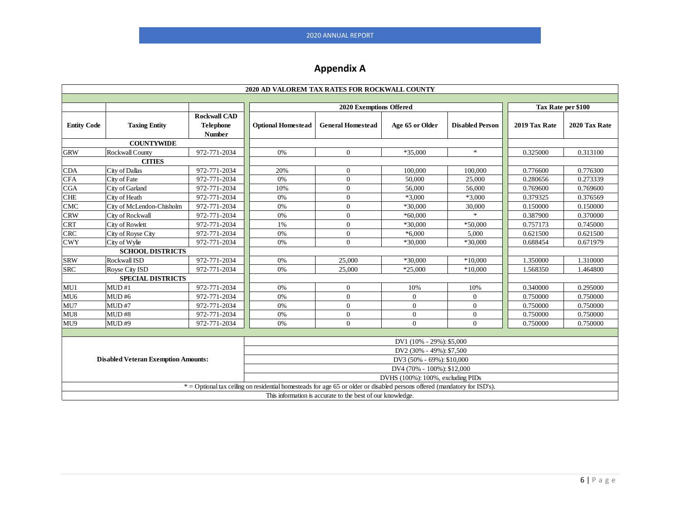## **Appendix A**

| 2020 AD VALOREM TAX RATES FOR ROCKWALL COUNTY                                                                             |                                                                                                     |                                                          |                           |                          |                 |                        |               |               |
|---------------------------------------------------------------------------------------------------------------------------|-----------------------------------------------------------------------------------------------------|----------------------------------------------------------|---------------------------|--------------------------|-----------------|------------------------|---------------|---------------|
|                                                                                                                           |                                                                                                     |                                                          |                           |                          |                 |                        |               |               |
|                                                                                                                           |                                                                                                     |                                                          | 2020 Exemptions Offered   |                          |                 | Tax Rate per \$100     |               |               |
| <b>Entity Code</b>                                                                                                        | <b>Taxing Entity</b>                                                                                | <b>Rockwall CAD</b><br><b>Telephone</b><br><b>Number</b> | <b>Optional Homestead</b> | <b>General Homestead</b> | Age 65 or Older | <b>Disabled Person</b> | 2019 Tax Rate | 2020 Tax Rate |
|                                                                                                                           | <b>COUNTYWIDE</b>                                                                                   |                                                          |                           |                          |                 |                        |               |               |
| <b>GRW</b>                                                                                                                | Rockwall County                                                                                     | 972-771-2034                                             | 0%                        | $\theta$                 | *35,000         | $\ast$                 | 0.325000      | 0.313100      |
|                                                                                                                           | <b>CITIES</b>                                                                                       |                                                          |                           |                          |                 |                        |               |               |
| <b>CDA</b>                                                                                                                | City of Dallas                                                                                      | 972-771-2034                                             | 20%                       | $\overline{0}$           | 100,000         | 100,000                | 0.776600      | 0.776300      |
| <b>CFA</b>                                                                                                                | City of Fate                                                                                        | 972-771-2034                                             | 0%                        | $\overline{0}$           | 50,000          | 25,000                 | 0.280656      | 0.273339      |
| <b>CGA</b>                                                                                                                | City of Garland                                                                                     | 972-771-2034                                             | 10%                       | $\mathbf{0}$             | 56,000          | 56,000                 | 0.769600      | 0.769600      |
| <b>CHE</b>                                                                                                                | City of Heath                                                                                       | 972-771-2034                                             | 0%                        | $\theta$                 | *3,000          | $*3,000$               | 0.379325      | 0.376569      |
| <b>CMC</b>                                                                                                                | City of McLendon-Chisholm                                                                           | 972-771-2034                                             | 0%                        | $\theta$                 | $*30,000$       | 30,000                 | 0.150000      | 0.150000      |
| <b>CRW</b>                                                                                                                | City of Rockwall                                                                                    | 972-771-2034                                             | 0%                        | $\overline{0}$           | $*60,000$       | $\ast$                 | 0.387900      | 0.370000      |
| <b>CRT</b>                                                                                                                | City of Rowlett                                                                                     | 972-771-2034                                             | 1%                        | $\theta$                 | *30,000         | *50,000                | 0.757173      | 0.745000      |
| <b>CRC</b>                                                                                                                | City of Royse City                                                                                  | 972-771-2034                                             | 0%                        | $\theta$                 | $*6,000$        | 5,000                  | 0.621500      | 0.621500      |
| <b>CWY</b>                                                                                                                | City of Wylie                                                                                       | 972-771-2034                                             | 0%                        | $\Omega$                 | *30,000         | *30,000                | 0.688454      | 0.671979      |
| <b>SCHOOL DISTRICTS</b>                                                                                                   |                                                                                                     |                                                          |                           |                          |                 |                        |               |               |
| <b>SRW</b>                                                                                                                | Rockwall ISD                                                                                        | 972-771-2034                                             | 0%                        | 25,000                   | *30,000         | $*10,000$              | 1.350000      | 1.310000      |
| <b>SRC</b>                                                                                                                | <b>Rovse City ISD</b>                                                                               | 972-771-2034                                             | 0%                        | 25,000                   | $*25,000$       | $*10,000$              | 1.568350      | 1.464800      |
|                                                                                                                           | <b>SPECIAL DISTRICTS</b>                                                                            |                                                          |                           |                          |                 |                        |               |               |
| MU1                                                                                                                       | MUD#1                                                                                               | 972-771-2034                                             | 0%                        | $\overline{0}$           | 10%             | 10%                    | 0.340000      | 0.295000      |
| MU <sub>6</sub>                                                                                                           | MUD#6                                                                                               | 972-771-2034                                             | 0%                        | $\theta$                 | $\overline{0}$  | $\theta$               | 0.750000      | 0.750000      |
| MU7                                                                                                                       | MUD#7                                                                                               | 972-771-2034                                             | 0%                        | $\theta$                 | $\overline{0}$  | $\mathbf{0}$           | 0.750000      | 0.750000      |
| MU8                                                                                                                       | MUD#8                                                                                               | 972-771-2034                                             | 0%                        | $\mathbf{0}$             | $\overline{0}$  | $\mathbf{0}$           | 0.750000      | 0.750000      |
| MU9                                                                                                                       | MUD#9                                                                                               | 972-771-2034                                             | 0%                        | $\theta$                 | $\Omega$        | $\Omega$               | 0.750000      | 0.750000      |
|                                                                                                                           |                                                                                                     |                                                          |                           |                          |                 |                        |               |               |
| DV1 (10% - 29%): \$5,000                                                                                                  |                                                                                                     |                                                          |                           |                          |                 |                        |               |               |
|                                                                                                                           | DV2 (30% - 49%): \$7,500<br><b>Disabled Veteran Exemption Amounts:</b><br>DV3 (50% - 69%): \$10,000 |                                                          |                           |                          |                 |                        |               |               |
|                                                                                                                           | DV4 (70% - 100%): \$12,000                                                                          |                                                          |                           |                          |                 |                        |               |               |
|                                                                                                                           | DVHS (100%): 100%, excluding PIDs                                                                   |                                                          |                           |                          |                 |                        |               |               |
| * = Optional tax ceiling on residential homesteads for age 65 or older or disabled persons offered (mandatory for ISD's). |                                                                                                     |                                                          |                           |                          |                 |                        |               |               |
|                                                                                                                           | This information is accurate to the best of our knowledge.                                          |                                                          |                           |                          |                 |                        |               |               |